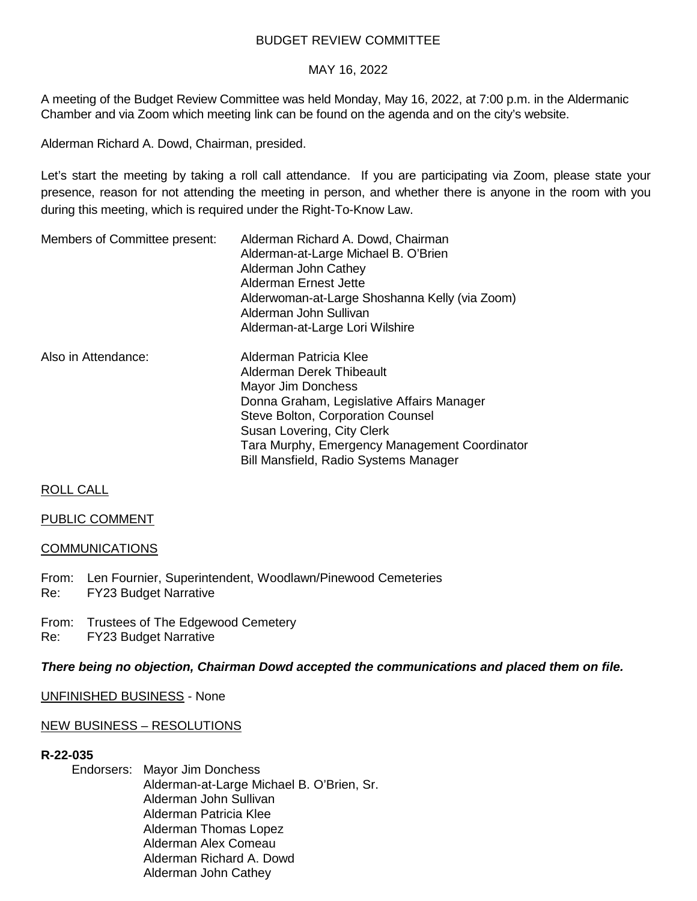## BUDGET REVIEW COMMITTEE

#### MAY 16, 2022

A meeting of the Budget Review Committee was held Monday, May 16, 2022, at 7:00 p.m. in the Aldermanic Chamber and via Zoom which meeting link can be found on the agenda and on the city's website.

Alderman Richard A. Dowd, Chairman, presided.

Let's start the meeting by taking a roll call attendance. If you are participating via Zoom, please state your presence, reason for not attending the meeting in person, and whether there is anyone in the room with you during this meeting, which is required under the Right-To-Know Law.

| Members of Committee present: | Alderman Richard A. Dowd, Chairman<br>Alderman-at-Large Michael B. O'Brien<br>Alderman John Cathey<br>Alderman Ernest Jette<br>Alderwoman-at-Large Shoshanna Kelly (via Zoom)<br>Alderman John Sullivan<br>Alderman-at-Large Lori Wilshire                                                |  |
|-------------------------------|-------------------------------------------------------------------------------------------------------------------------------------------------------------------------------------------------------------------------------------------------------------------------------------------|--|
| Also in Attendance:           | Alderman Patricia Klee<br>Alderman Derek Thibeault<br>Mayor Jim Donchess<br>Donna Graham, Legislative Affairs Manager<br><b>Steve Bolton, Corporation Counsel</b><br>Susan Lovering, City Clerk<br>Tara Murphy, Emergency Management Coordinator<br>Bill Mansfield, Radio Systems Manager |  |

## ROLL CALL

#### PUBLIC COMMENT

#### COMMUNICATIONS

From: Len Fournier, Superintendent, Woodlawn/Pinewood Cemeteries Re: FY23 Budget Narrative

From: Trustees of The Edgewood Cemetery Re: FY23 Budget Narrative

#### *There being no objection, Chairman Dowd accepted the communications and placed them on file.*

UNFINISHED BUSINESS - None

#### NEW BUSINESS – RESOLUTIONS

#### **R-22-035**

Endorsers: Mayor Jim Donchess Alderman-at-Large Michael B. O'Brien, Sr. Alderman John Sullivan Alderman Patricia Klee Alderman Thomas Lopez Alderman Alex Comeau Alderman Richard A. Dowd Alderman John Cathey